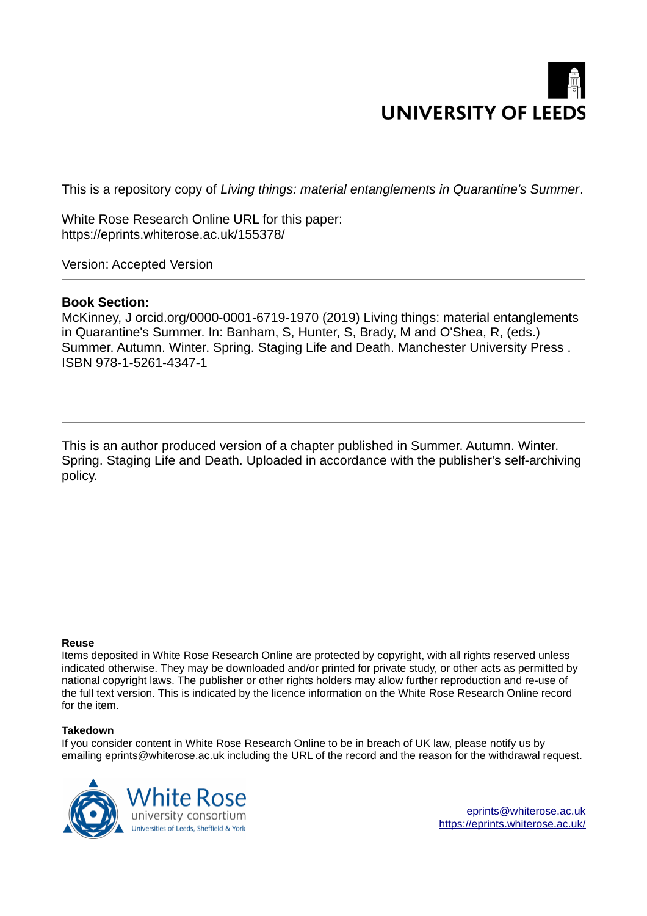# **UNIVERSITY OF LEEDS**

This is a repository copy of *Living things: material entanglements in Quarantine's Summer*.

White Rose Research Online URL for this paper: https://eprints.whiterose.ac.uk/155378/

Version: Accepted Version

# **Book Section:**

McKinney, J orcid.org/0000-0001-6719-1970 (2019) Living things: material entanglements in Quarantine's Summer. In: Banham, S, Hunter, S, Brady, M and O'Shea, R, (eds.) Summer. Autumn. Winter. Spring. Staging Life and Death. Manchester University Press . ISBN 978-1-5261-4347-1

This is an author produced version of a chapter published in Summer. Autumn. Winter. Spring. Staging Life and Death. Uploaded in accordance with the publisher's self-archiving policy.

## **Reuse**

Items deposited in White Rose Research Online are protected by copyright, with all rights reserved unless indicated otherwise. They may be downloaded and/or printed for private study, or other acts as permitted by national copyright laws. The publisher or other rights holders may allow further reproduction and re-use of the full text version. This is indicated by the licence information on the White Rose Research Online record for the item.

## **Takedown**

If you consider content in White Rose Research Online to be in breach of UK law, please notify us by emailing eprints@whiterose.ac.uk including the URL of the record and the reason for the withdrawal request.



eprints@whiterose.ac.uk https://eprints.whiterose.ac.uk/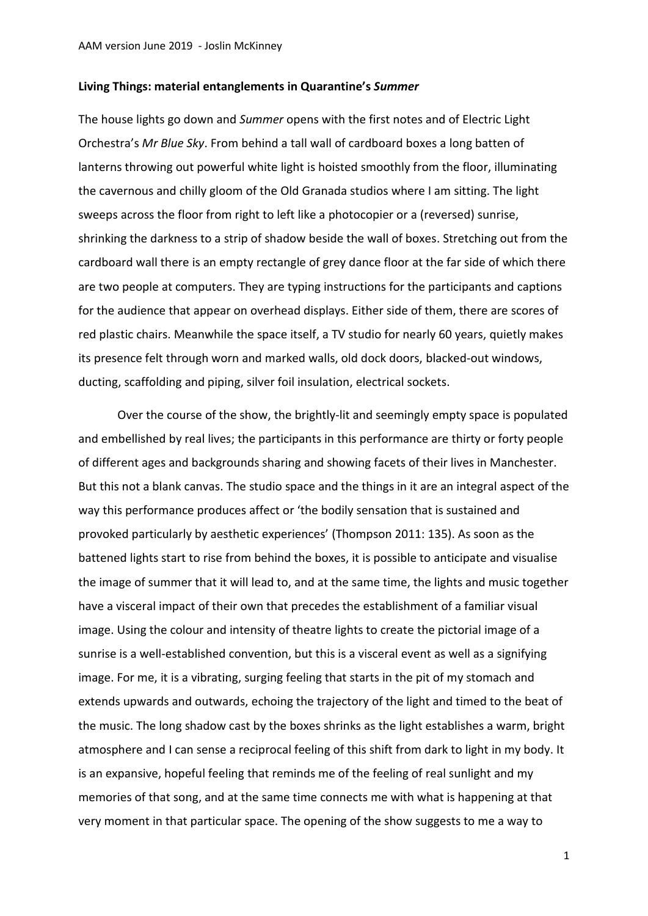### **Living Things: material entanglements in Quarantine's** *Summer*

The house lights go down and *Summer* opens with the first notes and of Electric Light Orchestra's *Mr Blue Sky*. From behind a tall wall of cardboard boxes a long batten of lanterns throwing out powerful white light is hoisted smoothly from the floor, illuminating the cavernous and chilly gloom of the Old Granada studios where I am sitting. The light sweeps across the floor from right to left like a photocopier or a (reversed) sunrise, shrinking the darkness to a strip of shadow beside the wall of boxes. Stretching out from the cardboard wall there is an empty rectangle of grey dance floor at the far side of which there are two people at computers. They are typing instructions for the participants and captions for the audience that appear on overhead displays. Either side of them, there are scores of red plastic chairs. Meanwhile the space itself, a TV studio for nearly 60 years, quietly makes its presence felt through worn and marked walls, old dock doors, blacked-out windows, ducting, scaffolding and piping, silver foil insulation, electrical sockets.

Over the course of the show, the brightly-lit and seemingly empty space is populated and embellished by real lives; the participants in this performance are thirty or forty people of different ages and backgrounds sharing and showing facets of their lives in Manchester. But this not a blank canvas. The studio space and the things in it are an integral aspect of the way this performance produces affect or 'the bodily sensation that is sustained and provoked particularly by aesthetic experiences' (Thompson 2011: 135). As soon as the battened lights start to rise from behind the boxes, it is possible to anticipate and visualise the image of summer that it will lead to, and at the same time, the lights and music together have a visceral impact of their own that precedes the establishment of a familiar visual image. Using the colour and intensity of theatre lights to create the pictorial image of a sunrise is a well-established convention, but this is a visceral event as well as a signifying image. For me, it is a vibrating, surging feeling that starts in the pit of my stomach and extends upwards and outwards, echoing the trajectory of the light and timed to the beat of the music. The long shadow cast by the boxes shrinks as the light establishes a warm, bright atmosphere and I can sense a reciprocal feeling of this shift from dark to light in my body. It is an expansive, hopeful feeling that reminds me of the feeling of real sunlight and my memories of that song, and at the same time connects me with what is happening at that very moment in that particular space. The opening of the show suggests to me a way to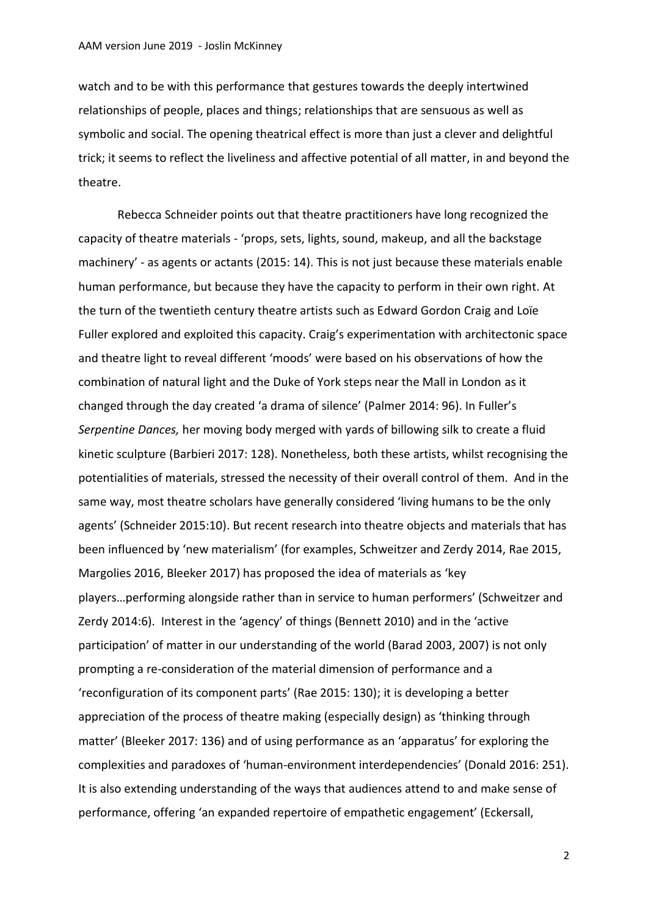watch and to be with this performance that gestures towards the deeply intertwined relationships of people, places and things; relationships that are sensuous as well as symbolic and social. The opening theatrical effect is more than just a clever and delightful trick; it seems to reflect the liveliness and affective potential of all matter, in and beyond the theatre.

Rebecca Schneider points out that theatre practitioners have long recognized the capacity of theatre materials - 'props, sets, lights, sound, makeup, and all the backstage machinery' - as agents or actants (2015: 14). This is not just because these materials enable human performance, but because they have the capacity to perform in their own right. At the turn of the twentieth century theatre artists such as Edward Gordon Craig and Loïe Fuller explored and exploited this capacity. Craig's experimentation with architectonic space and theatre light to reveal different 'moods' were based on his observations of how the combination of natural light and the Duke of York steps near the Mall in London as it changed through the day created 'a drama of silence' (Palmer 2014: 96). In Fuller's *Serpentine Dances,* her moving body merged with yards of billowing silk to create a fluid kinetic sculpture (Barbieri 2017: 128). Nonetheless, both these artists, whilst recognising the potentialities of materials, stressed the necessity of their overall control of them. And in the same way, most theatre scholars have generally considered 'living humans to be the only agents' (Schneider 2015:10). But recent research into theatre objects and materials that has been influenced by 'new materialism' (for examples, Schweitzer and Zerdy 2014, Rae 2015, Margolies 2016, Bleeker 2017) has proposed the idea of materials as 'key players…performing alongside rather than in service to human performers' (Schweitzer and Zerdy 2014:6). Interest in the 'agency' of things (Bennett 2010) and in the 'active participation' of matter in our understanding of the world (Barad 2003, 2007) is not only prompting a re-consideration of the material dimension of performance and a 'reconfiguration of its component parts' (Rae 2015: 130); it is developing a better appreciation of the process of theatre making (especially design) as 'thinking through matter' (Bleeker 2017: 136) and of using performance as an 'apparatus' for exploring the complexities and paradoxes of 'human-environment interdependencies' (Donald 2016: 251). It is also extending understanding of the ways that audiences attend to and make sense of performance, offering 'an expanded repertoire of empathetic engagement' (Eckersall,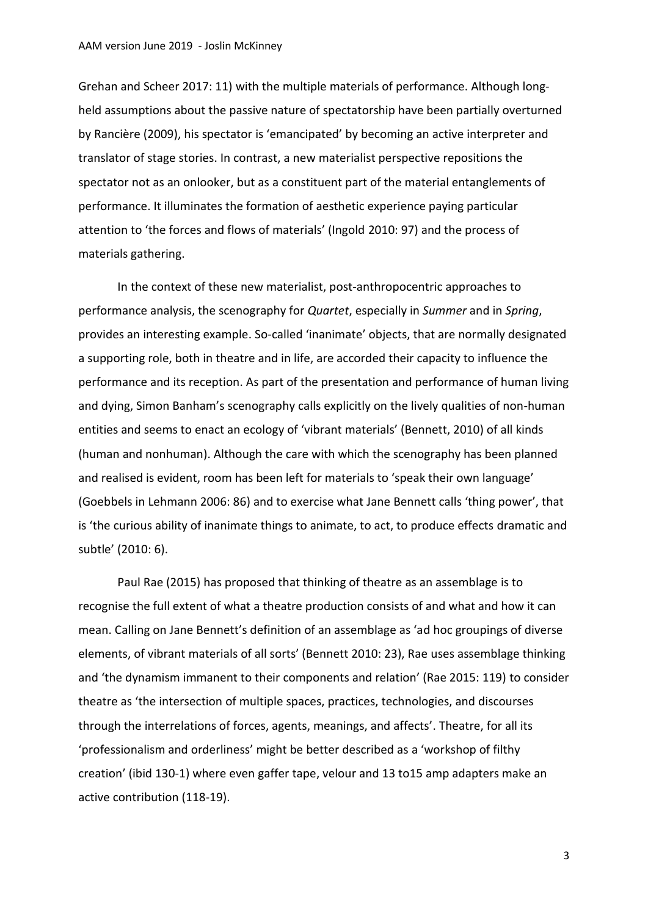Grehan and Scheer 2017: 11) with the multiple materials of performance. Although longheld assumptions about the passive nature of spectatorship have been partially overturned by Rancière (2009), his spectator is 'emancipated' by becoming an active interpreter and translator of stage stories. In contrast, a new materialist perspective repositions the spectator not as an onlooker, but as a constituent part of the material entanglements of performance. It illuminates the formation of aesthetic experience paying particular attention to 'the forces and flows of materials' (Ingold 2010: 97) and the process of materials gathering.

In the context of these new materialist, post-anthropocentric approaches to performance analysis, the scenography for *Quartet*, especially in *Summer* and in *Spring*, provides an interesting example. So-called 'inanimate' objects, that are normally designated a supporting role, both in theatre and in life, are accorded their capacity to influence the performance and its reception. As part of the presentation and performance of human living and dying, Simon Banham's scenography calls explicitly on the lively qualities of non-human entities and seems to enact an ecology of 'vibrant materials' (Bennett, 2010) of all kinds (human and nonhuman). Although the care with which the scenography has been planned and realised is evident, room has been left for materials to 'speak their own language' (Goebbels in Lehmann 2006: 86) and to exercise what Jane Bennett calls 'thing power', that is 'the curious ability of inanimate things to animate, to act, to produce effects dramatic and subtle' (2010: 6).

Paul Rae (2015) has proposed that thinking of theatre as an assemblage is to recognise the full extent of what a theatre production consists of and what and how it can mean. Calling on Jane Bennett's definition of an assemblage as 'ad hoc groupings of diverse elements, of vibrant materials of all sorts' (Bennett 2010: 23), Rae uses assemblage thinking and 'the dynamism immanent to their components and relation' (Rae 2015: 119) to consider theatre as 'the intersection of multiple spaces, practices, technologies, and discourses through the interrelations of forces, agents, meanings, and affects'. Theatre, for all its 'professionalism and orderliness' might be better described as a 'workshop of filthy creation' (ibid 130-1) where even gaffer tape, velour and 13 to15 amp adapters make an active contribution (118-19).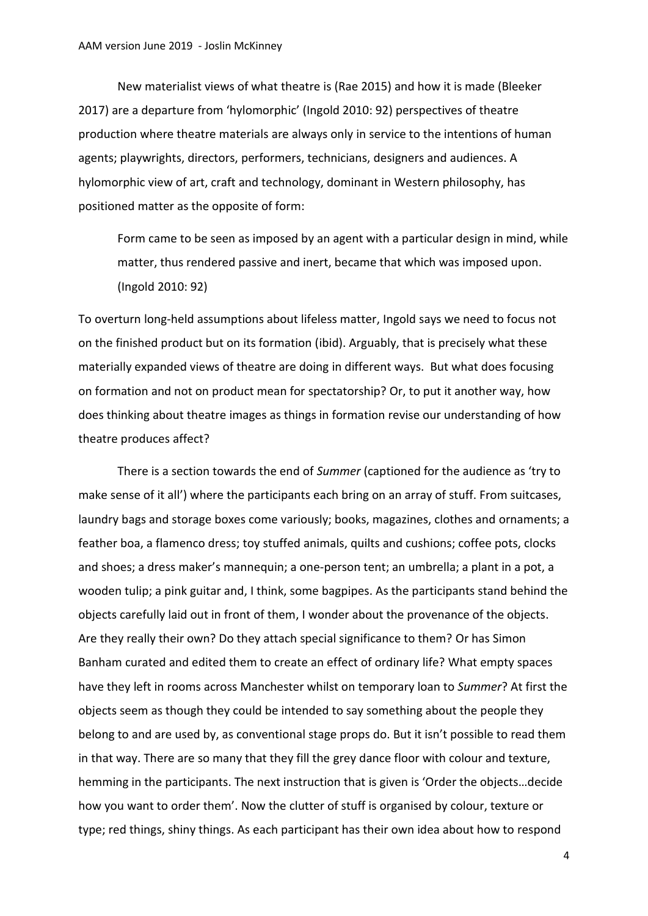New materialist views of what theatre is (Rae 2015) and how it is made (Bleeker 2017) are a departure from 'hylomorphic' (Ingold 2010: 92) perspectives of theatre production where theatre materials are always only in service to the intentions of human agents; playwrights, directors, performers, technicians, designers and audiences. A hylomorphic view of art, craft and technology, dominant in Western philosophy, has positioned matter as the opposite of form:

Form came to be seen as imposed by an agent with a particular design in mind, while matter, thus rendered passive and inert, became that which was imposed upon. (Ingold 2010: 92)

To overturn long-held assumptions about lifeless matter, Ingold says we need to focus not on the finished product but on its formation (ibid). Arguably, that is precisely what these materially expanded views of theatre are doing in different ways. But what does focusing on formation and not on product mean for spectatorship? Or, to put it another way, how does thinking about theatre images as things in formation revise our understanding of how theatre produces affect?

There is a section towards the end of *Summer* (captioned for the audience as 'try to make sense of it all') where the participants each bring on an array of stuff. From suitcases, laundry bags and storage boxes come variously; books, magazines, clothes and ornaments; a feather boa, a flamenco dress; toy stuffed animals, quilts and cushions; coffee pots, clocks and shoes; a dress maker's mannequin; a one-person tent; an umbrella; a plant in a pot, a wooden tulip; a pink guitar and, I think, some bagpipes. As the participants stand behind the objects carefully laid out in front of them, I wonder about the provenance of the objects. Are they really their own? Do they attach special significance to them? Or has Simon Banham curated and edited them to create an effect of ordinary life? What empty spaces have they left in rooms across Manchester whilst on temporary loan to *Summer*? At first the objects seem as though they could be intended to say something about the people they belong to and are used by, as conventional stage props do. But it isn't possible to read them in that way. There are so many that they fill the grey dance floor with colour and texture, hemming in the participants. The next instruction that is given is 'Order the objects…decide how you want to order them'. Now the clutter of stuff is organised by colour, texture or type; red things, shiny things. As each participant has their own idea about how to respond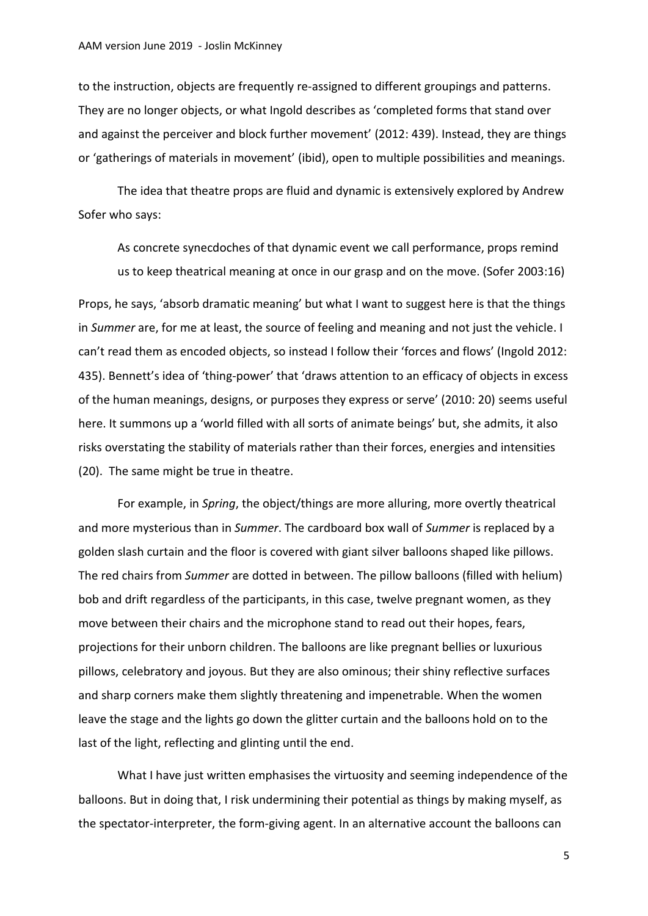to the instruction, objects are frequently re-assigned to different groupings and patterns. They are no longer objects, or what Ingold describes as 'completed forms that stand over and against the perceiver and block further movement' (2012: 439). Instead, they are things or 'gatherings of materials in movement' (ibid), open to multiple possibilities and meanings.

The idea that theatre props are fluid and dynamic is extensively explored by Andrew Sofer who says:

As concrete synecdoches of that dynamic event we call performance, props remind us to keep theatrical meaning at once in our grasp and on the move. (Sofer 2003:16)

Props, he says, 'absorb dramatic meaning' but what I want to suggest here is that the things in *Summer* are, for me at least, the source of feeling and meaning and not just the vehicle. I can't read them as encoded objects, so instead I follow their 'forces and flows' (Ingold 2012: 435). Bennett's idea of 'thing-power' that 'draws attention to an efficacy of objects in excess of the human meanings, designs, or purposes they express or serve' (2010: 20) seems useful here. It summons up a 'world filled with all sorts of animate beings' but, she admits, it also risks overstating the stability of materials rather than their forces, energies and intensities (20). The same might be true in theatre.

For example, in *Spring*, the object/things are more alluring, more overtly theatrical and more mysterious than in *Summer*. The cardboard box wall of *Summer* is replaced by a golden slash curtain and the floor is covered with giant silver balloons shaped like pillows. The red chairs from *Summer* are dotted in between. The pillow balloons (filled with helium) bob and drift regardless of the participants, in this case, twelve pregnant women, as they move between their chairs and the microphone stand to read out their hopes, fears, projections for their unborn children. The balloons are like pregnant bellies or luxurious pillows, celebratory and joyous. But they are also ominous; their shiny reflective surfaces and sharp corners make them slightly threatening and impenetrable. When the women leave the stage and the lights go down the glitter curtain and the balloons hold on to the last of the light, reflecting and glinting until the end.

What I have just written emphasises the virtuosity and seeming independence of the balloons. But in doing that, I risk undermining their potential as things by making myself, as the spectator-interpreter, the form-giving agent. In an alternative account the balloons can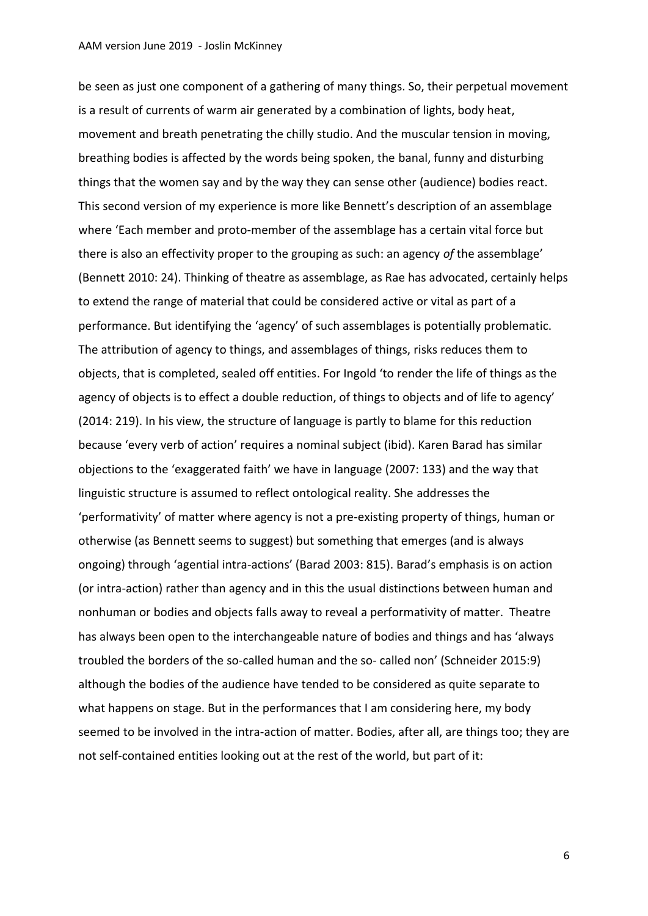be seen as just one component of a gathering of many things. So, their perpetual movement is a result of currents of warm air generated by a combination of lights, body heat, movement and breath penetrating the chilly studio. And the muscular tension in moving, breathing bodies is affected by the words being spoken, the banal, funny and disturbing things that the women say and by the way they can sense other (audience) bodies react. This second version of my experience is more like Bennett's description of an assemblage where 'Each member and proto-member of the assemblage has a certain vital force but there is also an effectivity proper to the grouping as such: an agency *of* the assemblage' (Bennett 2010: 24). Thinking of theatre as assemblage, as Rae has advocated, certainly helps to extend the range of material that could be considered active or vital as part of a performance. But identifying the 'agency' of such assemblages is potentially problematic. The attribution of agency to things, and assemblages of things, risks reduces them to objects, that is completed, sealed off entities. For Ingold 'to render the life of things as the agency of objects is to effect a double reduction, of things to objects and of life to agency' (2014: 219). In his view, the structure of language is partly to blame for this reduction because 'every verb of action' requires a nominal subject (ibid). Karen Barad has similar objections to the 'exaggerated faith' we have in language (2007: 133) and the way that linguistic structure is assumed to reflect ontological reality. She addresses the 'performativity' of matter where agency is not a pre-existing property of things, human or otherwise (as Bennett seems to suggest) but something that emerges (and is always ongoing) through 'agential intra-actions' (Barad 2003: 815). Barad's emphasis is on action (or intra-action) rather than agency and in this the usual distinctions between human and nonhuman or bodies and objects falls away to reveal a performativity of matter. Theatre has always been open to the interchangeable nature of bodies and things and has 'always troubled the borders of the so-called human and the so- called non' (Schneider 2015:9) although the bodies of the audience have tended to be considered as quite separate to what happens on stage. But in the performances that I am considering here, my body seemed to be involved in the intra-action of matter. Bodies, after all, are things too; they are not self-contained entities looking out at the rest of the world, but part of it: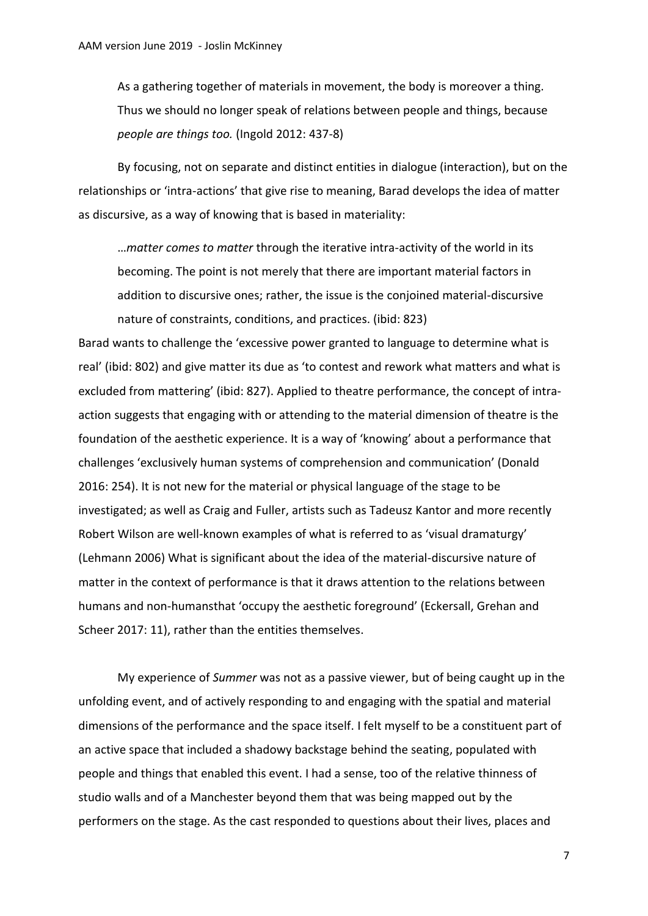As a gathering together of materials in movement, the body is moreover a thing. Thus we should no longer speak of relations between people and things, because *people are things too.* (Ingold 2012: 437-8)

By focusing, not on separate and distinct entities in dialogue (interaction), but on the relationships or 'intra-actions' that give rise to meaning, Barad develops the idea of matter as discursive, as a way of knowing that is based in materiality:

…*matter comes to matter* through the iterative intra-activity of the world in its becoming. The point is not merely that there are important material factors in addition to discursive ones; rather, the issue is the conjoined material-discursive nature of constraints, conditions, and practices. (ibid: 823)

Barad wants to challenge the 'excessive power granted to language to determine what is real' (ibid: 802) and give matter its due as 'to contest and rework what matters and what is excluded from mattering' (ibid: 827). Applied to theatre performance, the concept of intraaction suggests that engaging with or attending to the material dimension of theatre is the foundation of the aesthetic experience. It is a way of 'knowing' about a performance that challenges 'exclusively human systems of comprehension and communication' (Donald 2016: 254). It is not new for the material or physical language of the stage to be investigated; as well as Craig and Fuller, artists such as Tadeusz Kantor and more recently Robert Wilson are well-known examples of what is referred to as 'visual dramaturgy' (Lehmann 2006) What is significant about the idea of the material-discursive nature of matter in the context of performance is that it draws attention to the relations between humans and non-humansthat 'occupy the aesthetic foreground' (Eckersall, Grehan and Scheer 2017: 11), rather than the entities themselves.

My experience of *Summer* was not as a passive viewer, but of being caught up in the unfolding event, and of actively responding to and engaging with the spatial and material dimensions of the performance and the space itself. I felt myself to be a constituent part of an active space that included a shadowy backstage behind the seating, populated with people and things that enabled this event. I had a sense, too of the relative thinness of studio walls and of a Manchester beyond them that was being mapped out by the performers on the stage. As the cast responded to questions about their lives, places and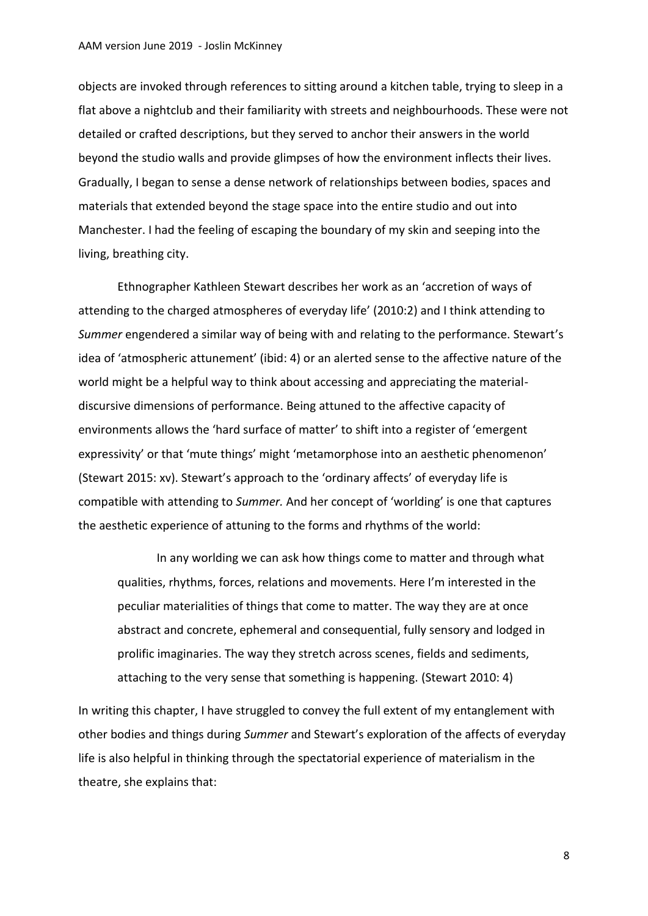### AAM version June 2019 - Joslin McKinney

objects are invoked through references to sitting around a kitchen table, trying to sleep in a flat above a nightclub and their familiarity with streets and neighbourhoods. These were not detailed or crafted descriptions, but they served to anchor their answers in the world beyond the studio walls and provide glimpses of how the environment inflects their lives. Gradually, I began to sense a dense network of relationships between bodies, spaces and materials that extended beyond the stage space into the entire studio and out into Manchester. I had the feeling of escaping the boundary of my skin and seeping into the living, breathing city.

Ethnographer Kathleen Stewart describes her work as an 'accretion of ways of attending to the charged atmospheres of everyday life' (2010:2) and I think attending to *Summer* engendered a similar way of being with and relating to the performance. Stewart's idea of 'atmospheric attunement' (ibid: 4) or an alerted sense to the affective nature of the world might be a helpful way to think about accessing and appreciating the materialdiscursive dimensions of performance. Being attuned to the affective capacity of environments allows the 'hard surface of matter' to shift into a register of 'emergent expressivity' or that 'mute things' might 'metamorphose into an aesthetic phenomenon' (Stewart 2015: xv). Stewart's approach to the 'ordinary affects' of everyday life is compatible with attending to *Summer.* And her concept of 'worlding' is one that captures the aesthetic experience of attuning to the forms and rhythms of the world:

In any worlding we can ask how things come to matter and through what qualities, rhythms, forces, relations and movements. Here I'm interested in the peculiar materialities of things that come to matter. The way they are at once abstract and concrete, ephemeral and consequential, fully sensory and lodged in prolific imaginaries. The way they stretch across scenes, fields and sediments, attaching to the very sense that something is happening. (Stewart 2010: 4)

In writing this chapter, I have struggled to convey the full extent of my entanglement with other bodies and things during *Summer* and Stewart's exploration of the affects of everyday life is also helpful in thinking through the spectatorial experience of materialism in the theatre, she explains that: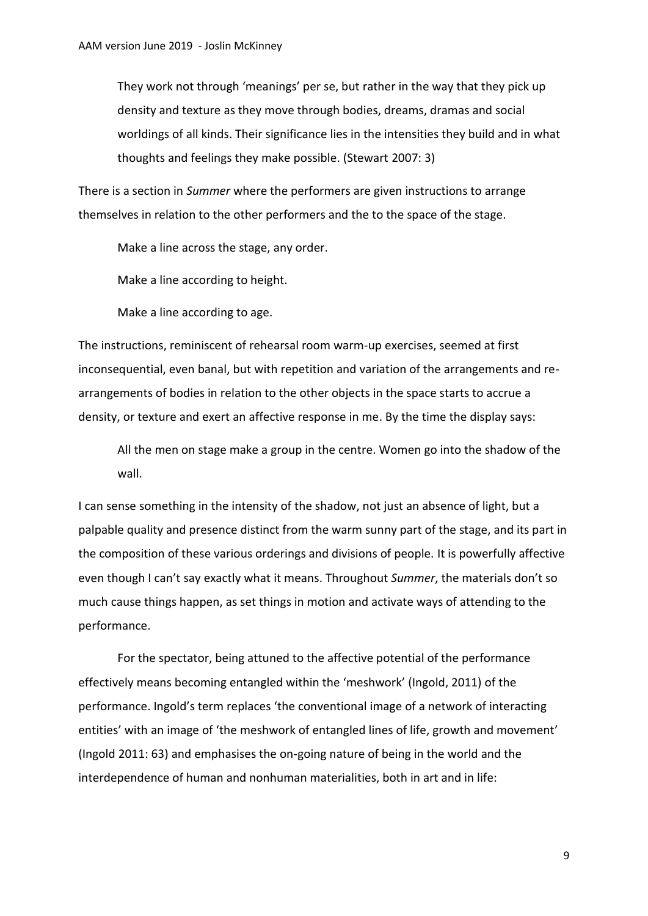They work not through 'meanings' per se, but rather in the way that they pick up density and texture as they move through bodies, dreams, dramas and social worldings of all kinds. Their significance lies in the intensities they build and in what thoughts and feelings they make possible. (Stewart 2007: 3)

There is a section in *Summer* where the performers are given instructions to arrange themselves in relation to the other performers and the to the space of the stage.

Make a line across the stage, any order.

Make a line according to height.

Make a line according to age.

The instructions, reminiscent of rehearsal room warm-up exercises, seemed at first inconsequential, even banal, but with repetition and variation of the arrangements and rearrangements of bodies in relation to the other objects in the space starts to accrue a density, or texture and exert an affective response in me. By the time the display says:

All the men on stage make a group in the centre. Women go into the shadow of the wall.

I can sense something in the intensity of the shadow, not just an absence of light, but a palpable quality and presence distinct from the warm sunny part of the stage, and its part in the composition of these various orderings and divisions of people. It is powerfully affective even though I can't say exactly what it means. Throughout *Summer*, the materials don't so much cause things happen, as set things in motion and activate ways of attending to the performance.

For the spectator, being attuned to the affective potential of the performance effectively means becoming entangled within the 'meshwork' (Ingold, 2011) of the performance. Ingold's term replaces 'the conventional image of a network of interacting entities' with an image of 'the meshwork of entangled lines of life, growth and movement' (Ingold 2011: 63) and emphasises the on-going nature of being in the world and the interdependence of human and nonhuman materialities, both in art and in life: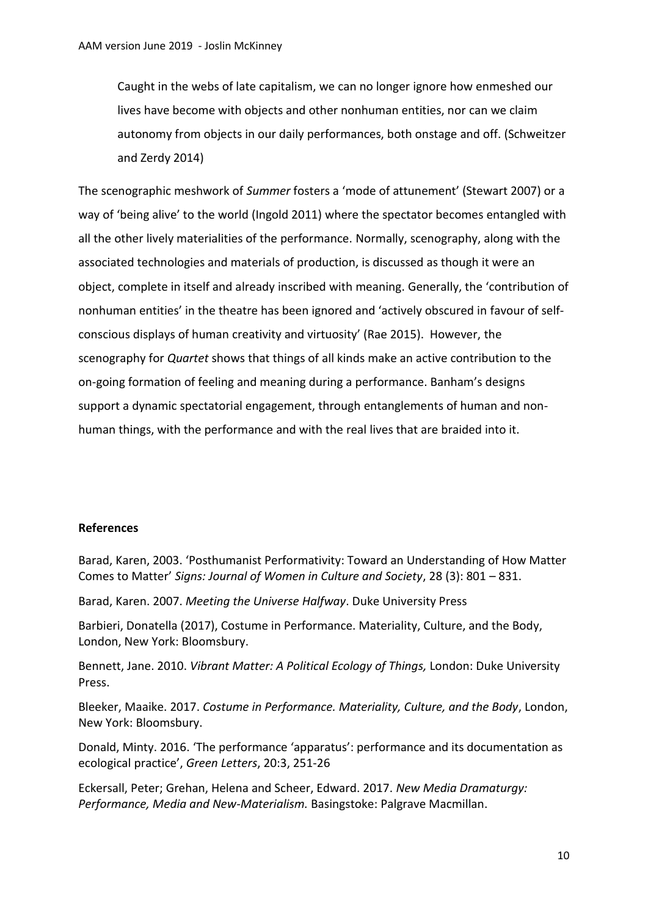Caught in the webs of late capitalism, we can no longer ignore how enmeshed our lives have become with objects and other nonhuman entities, nor can we claim autonomy from objects in our daily performances, both onstage and off. (Schweitzer and Zerdy 2014)

The scenographic meshwork of *Summer* fosters a 'mode of attunement' (Stewart 2007) or a way of 'being alive' to the world (Ingold 2011) where the spectator becomes entangled with all the other lively materialities of the performance. Normally, scenography, along with the associated technologies and materials of production, is discussed as though it were an object, complete in itself and already inscribed with meaning. Generally, the 'contribution of nonhuman entities' in the theatre has been ignored and 'actively obscured in favour of selfconscious displays of human creativity and virtuosity' (Rae 2015). However, the scenography for *Quartet* shows that things of all kinds make an active contribution to the on-going formation of feeling and meaning during a performance. Banham's designs support a dynamic spectatorial engagement, through entanglements of human and nonhuman things, with the performance and with the real lives that are braided into it.

# **References**

Barad, Karen, 2003. 'Posthumanist Performativity: Toward an Understanding of How Matter Comes to Matter' *Signs: Journal of Women in Culture and Society*, 28 (3): 801 – 831.

Barad, Karen. 2007. *Meeting the Universe Halfway*. Duke University Press

Barbieri, Donatella (2017), Costume in Performance. Materiality, Culture, and the Body, London, New York: Bloomsbury.

Bennett, Jane. 2010. *Vibrant Matter: A Political Ecology of Things,* London: Duke University Press.

Bleeker, Maaike. 2017. *Costume in Performance. Materiality, Culture, and the Body*, London, New York: Bloomsbury.

Donald, Minty. 2016. 'The performance 'apparatus': performance and its documentation as ecological practice', *Green Letters*, 20:3, 251-26

Eckersall, Peter; Grehan, Helena and Scheer, Edward. 2017. *New Media Dramaturgy: Performance, Media and New-Materialism.* Basingstoke: Palgrave Macmillan.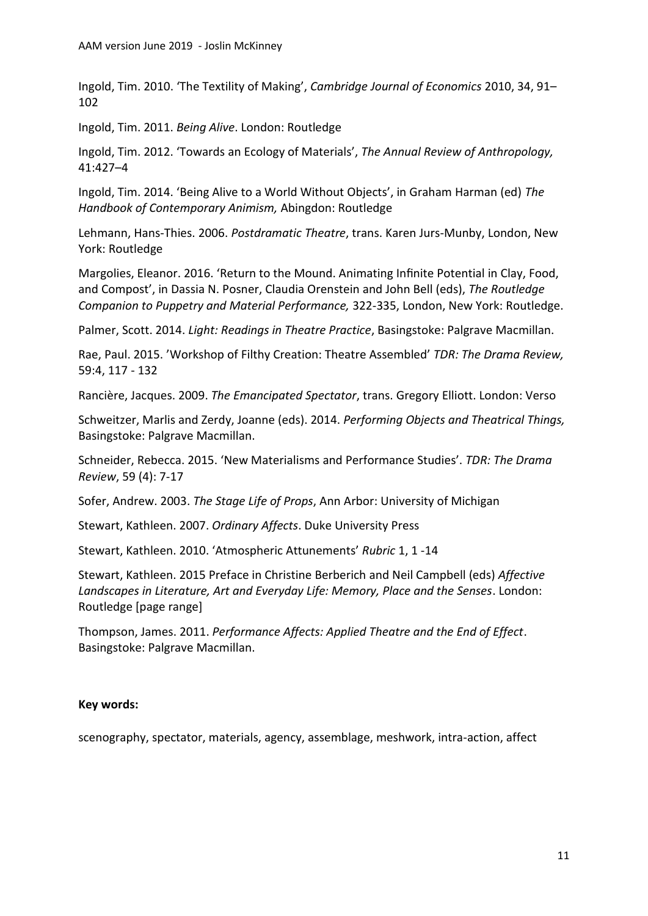Ingold, Tim. 2010. 'The Textility of Making', *Cambridge Journal of Economics* 2010, 34, 91– 102

Ingold, Tim. 2011. *Being Alive*. London: Routledge

Ingold, Tim. 2012. 'Towards an Ecology of Materials', *The Annual Review of Anthropology,*  41:427–4

Ingold, Tim. 2014. 'Being Alive to a World Without Objects', in Graham Harman (ed) *The Handbook of Contemporary Animism,* Abingdon: Routledge

Lehmann, Hans-Thies. 2006. *Postdramatic Theatre*, trans. Karen Jurs-Munby, London, New York: Routledge

Margolies, Eleanor. 2016. 'Return to the Mound. Animating Infinite Potential in Clay, Food, and Compost', in Dassia N. Posner, Claudia Orenstein and John Bell (eds), *The Routledge Companion to Puppetry and Material Performance,* 322-335, London, New York: Routledge.

Palmer, Scott. 2014. *Light: Readings in Theatre Practice*, Basingstoke: Palgrave Macmillan.

Rae, Paul. 2015. 'Workshop of Filthy Creation: Theatre Assembled' *TDR: The Drama Review,* 59:4, 117 - 132

Rancière, Jacques. 2009. *The Emancipated Spectator*, trans. [Gregory Elliott.](https://www.versobooks.com/authors/43-gregory-elliott) London: Verso

Schweitzer, Marlis and Zerdy, Joanne (eds). 2014. *Performing Objects and Theatrical Things,* Basingstoke: Palgrave Macmillan.

Schneider, Rebecca. 2015. 'New Materialisms and Performance Studies'. *TDR: The Drama Review*, 59 (4): 7-17

Sofer, Andrew. 2003. *The Stage Life of Props*, Ann Arbor: University of Michigan

Stewart, Kathleen. 2007. *Ordinary Affects*. Duke University Press

Stewart, Kathleen. 2010. 'Atmospheric Attunements' *Rubric* 1, 1 -14

Stewart, Kathleen. 2015 Preface in Christine Berberich and Neil Campbell (eds) *Affective Landscapes in Literature, Art and Everyday Life: Memory, Place and the Senses*. London: Routledge [page range]

Thompson, James. 2011. *Performance Affects: Applied Theatre and the End of Effect*. Basingstoke: Palgrave Macmillan.

# **Key words:**

scenography, spectator, materials, agency, assemblage, meshwork, intra-action, affect